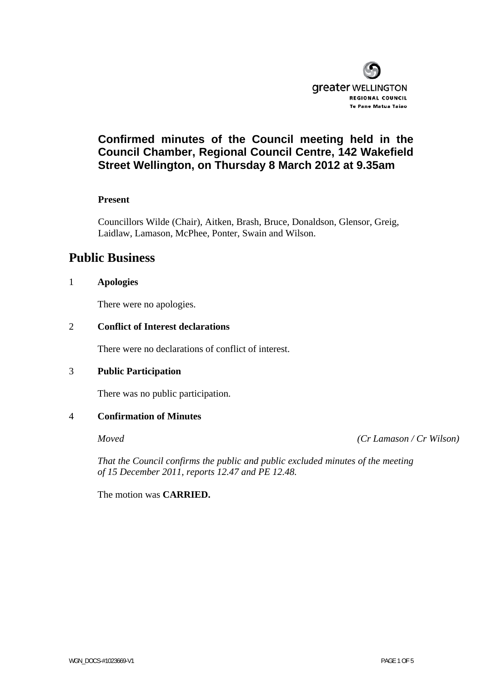

# **Confirmed minutes of the Council meeting held in the Council Chamber, Regional Council Centre, 142 Wakefield Street Wellington, on Thursday 8 March 2012 at 9.35am**

#### **Present**

Councillors Wilde (Chair), Aitken, Brash, Bruce, Donaldson, Glensor, Greig, Laidlaw, Lamason, McPhee, Ponter, Swain and Wilson.

# **Public Business**

#### 1 **Apologies**

There were no apologies.

#### 2 **Conflict of Interest declarations**

There were no declarations of conflict of interest.

#### 3 **Public Participation**

There was no public participation.

#### 4 **Confirmation of Minutes**

*Moved (Cr Lamason / Cr Wilson)* 

 *That the Council confirms the public and public excluded minutes of the meeting of 15 December 2011, reports 12.47 and PE 12.48.* 

The motion was **CARRIED.**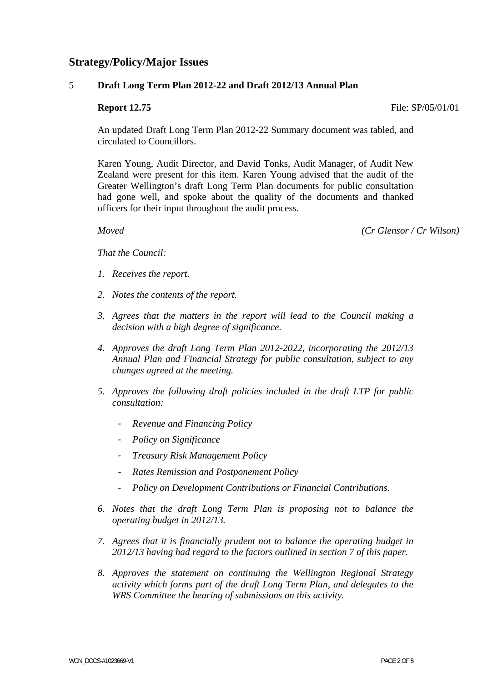# **Strategy/Policy/Major Issues**

#### 5 **Draft Long Term Plan 2012-22 and Draft 2012/13 Annual Plan**

#### **Report 12.75 File:** SP/05/01/01

An updated Draft Long Term Plan 2012-22 Summary document was tabled, and circulated to Councillors.

Karen Young, Audit Director, and David Tonks, Audit Manager, of Audit New Zealand were present for this item. Karen Young advised that the audit of the Greater Wellington's draft Long Term Plan documents for public consultation had gone well, and spoke about the quality of the documents and thanked officers for their input throughout the audit process.

 *Moved (Cr Glensor / Cr Wilson)* 

*That the Council:* 

- *1. Receives the report.*
- *2. Notes the contents of the report.*
- *3. Agrees that the matters in the report will lead to the Council making a decision with a high degree of significance.*
- *4. Approves the draft Long Term Plan 2012-2022, incorporating the 2012/13 Annual Plan and Financial Strategy for public consultation, subject to any changes agreed at the meeting.*
- *5. Approves the following draft policies included in the draft LTP for public consultation:* 
	- *Revenue and Financing Policy*
	- *Policy on Significance*
	- *Treasury Risk Management Policy*
	- *Rates Remission and Postponement Policy*
	- *Policy on Development Contributions or Financial Contributions.*
- *6. Notes that the draft Long Term Plan is proposing not to balance the operating budget in 2012/13.*
- *7. Agrees that it is financially prudent not to balance the operating budget in 2012/13 having had regard to the factors outlined in section 7 of this paper.*
- *8. Approves the statement on continuing the Wellington Regional Strategy activity which forms part of the draft Long Term Plan, and delegates to the WRS Committee the hearing of submissions on this activity.*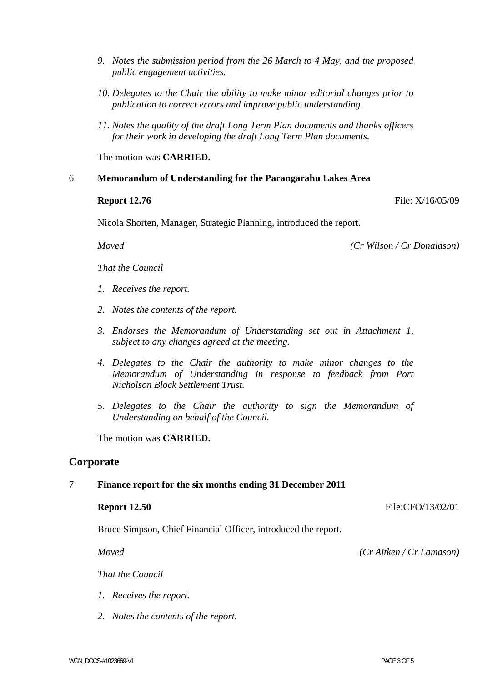- WGN DOCS-#1023669-V1 PAGE 3 OF 5
	-
- *9. Notes the submission period from the 26 March to 4 May, and the proposed public engagement activities.*
- *10. Delegates to the Chair the ability to make minor editorial changes prior to publication to correct errors and improve public understanding.*
- *11. Notes the quality of the draft Long Term Plan documents and thanks officers for their work in developing the draft Long Term Plan documents.*

The motion was **CARRIED.** 

#### 6 **Memorandum of Understanding for the Parangarahu Lakes Area**

#### **Report 12.76** File: X/16/05/09

Nicola Shorten, Manager, Strategic Planning, introduced the report.

 *Moved (Cr Wilson / Cr Donaldson)* 

*That the Council* 

- *1. Receives the report.*
- *2. Notes the contents of the report.*
- *3. Endorses the Memorandum of Understanding set out in Attachment 1, subject to any changes agreed at the meeting.*
- *4. Delegates to the Chair the authority to make minor changes to the Memorandum of Understanding in response to feedback from Port Nicholson Block Settlement Trust.*
- *5. Delegates to the Chair the authority to sign the Memorandum of Understanding on behalf of the Council.*

The motion was **CARRIED.** 

## **Corporate**

## 7 **Finance report for the six months ending 31 December 2011**

#### **Report 12.50** File:CFO/13/02/01

*That the Council* 

*1. Receives the report.* 

*2. Notes the contents of the report.* 

Bruce Simpson, Chief Financial Officer, introduced the report.

 *Moved (Cr Aitken / Cr Lamason)*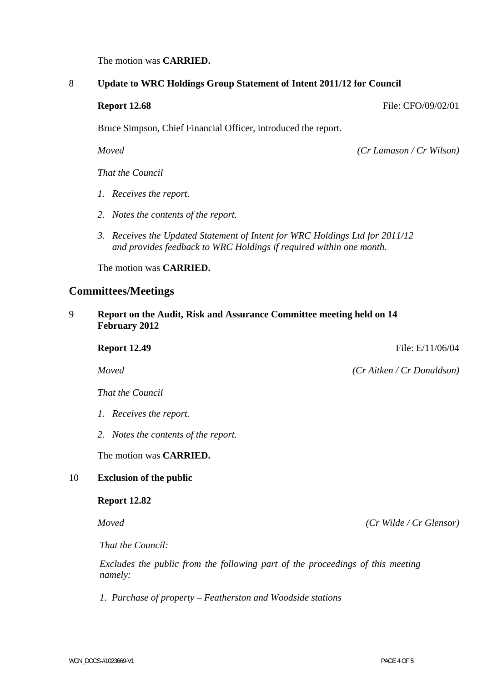The motion was **CARRIED.** 

#### 8 **Update to WRC Holdings Group Statement of Intent 2011/12 for Council**

**Report 12.68** File: CFO/09/02/01

Bruce Simpson, Chief Financial Officer, introduced the report.

 *Moved (Cr Lamason / Cr Wilson)* 

*That the Council* 

- *1. Receives the report.*
- *2. Notes the contents of the report.*
- *3. Receives the Updated Statement of Intent for WRC Holdings Ltd for 2011/12 and provides feedback to WRC Holdings if required within one month.*

The motion was **CARRIED.** 

## **Committees/Meetings**

9 **Report on the Audit, Risk and Assurance Committee meeting held on 14 February 2012** 

**Report 12.49 File: E/11/06/04**  *Moved (Cr Aitken / Cr Donaldson)* 

*That the Council* 

- *1. Receives the report.*
- *2. Notes the contents of the report.*

The motion was **CARRIED.** 

#### 10 **Exclusion of the public**

#### **Report 12.82**

 *Moved (Cr Wilde / Cr Glensor)* 

*That the Council:* 

 *Excludes the public from the following part of the proceedings of this meeting namely:* 

*1. Purchase of property – Featherston and Woodside stations*